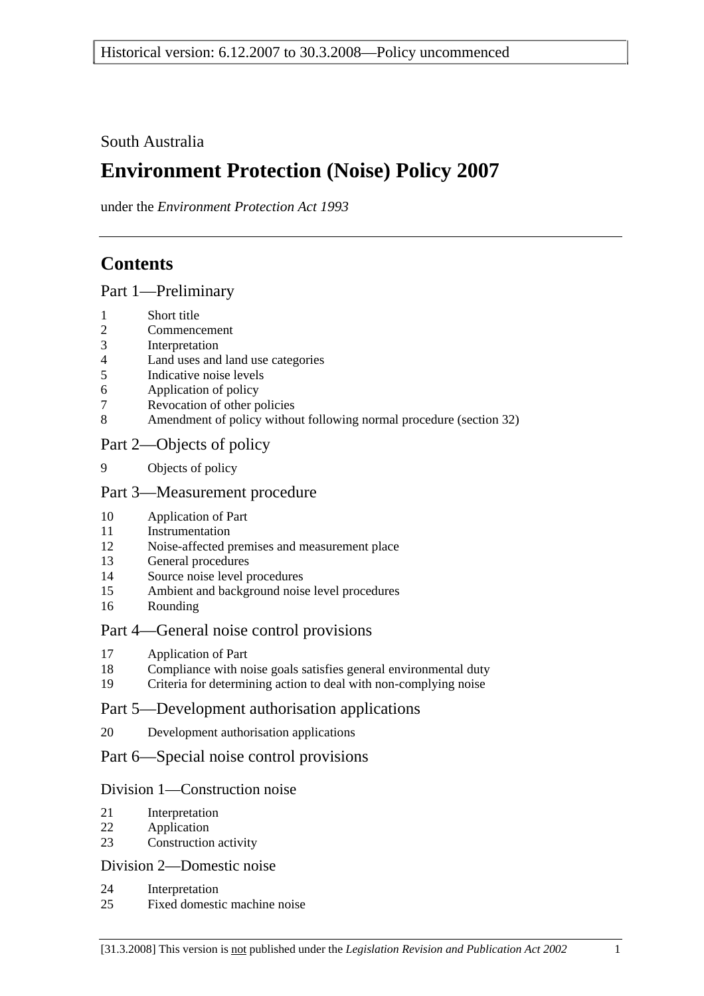## South Australia

# **Environment Protection (Noise) Policy 2007**

under the *Environment Protection Act 1993*

## **Contents**

Part 1—Preliminary

- 1 Short title
- 2 Commencement
- 3 Interpretation
- 4 Land uses and land use categories
- 5 Indicative noise levels
- 6 Application of policy
- 7 Revocation of other policies
- 8 Amendment of policy without following normal procedure (section 32)

## Part 2—Objects of policy

9 Objects of policy

### Part 3—Measurement procedure

- 10 Application of Part
- 11 Instrumentation
- 12 Noise-affected premises and measurement place
- 13 General procedures
- 14 Source noise level procedures
- 15 Ambient and background noise level procedures
- 16 Rounding

## Part 4—General noise control provisions

- 17 Application of Part
- 18 Compliance with noise goals satisfies general environmental duty
- 19 Criteria for determining action to deal with non-complying noise

### Part 5—Development authorisation applications

20 Development authorisation applications

## Part 6—Special noise control provisions

### Division 1—Construction noise

- 21 Interpretation
- 22 Application
- 23 Construction activity

### Division 2—Domestic noise

- 24 Interpretation
- 25 Fixed domestic machine noise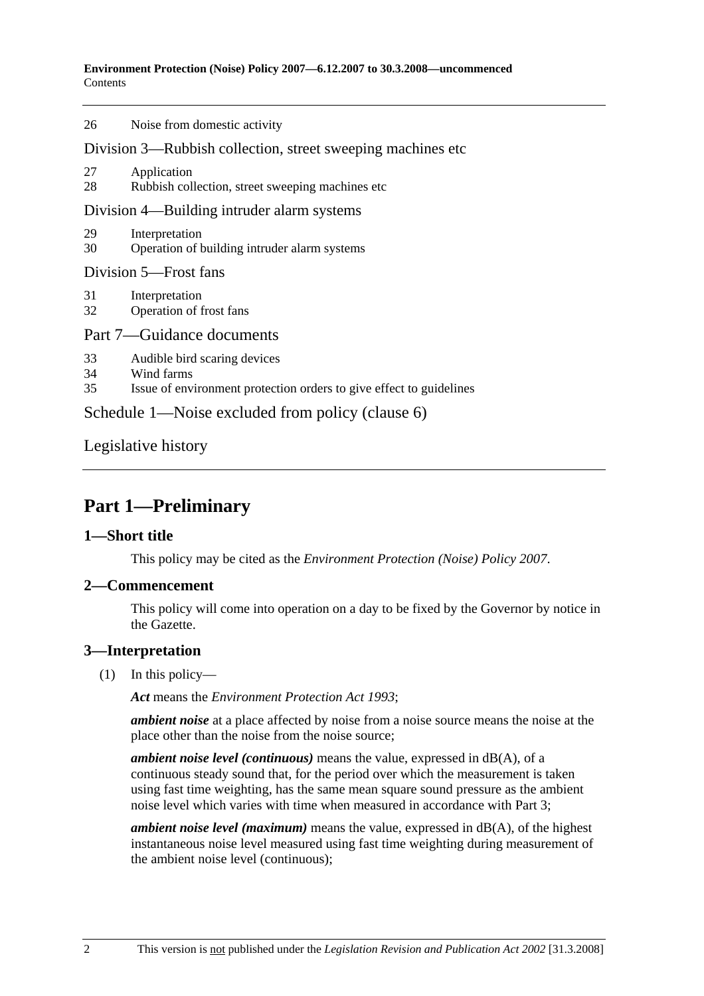#### **Environment Protection (Noise) Policy 2007—6.12.2007 to 30.3.2008—uncommenced**  Contents

| 26                                                          | Noise from domestic activity                                                                                      |  |  |  |
|-------------------------------------------------------------|-------------------------------------------------------------------------------------------------------------------|--|--|--|
| Division 3—Rubbish collection, street sweeping machines etc |                                                                                                                   |  |  |  |
| 27<br>28                                                    | Application<br>Rubbish collection, street sweeping machines etc.                                                  |  |  |  |
| Division 4—Building intruder alarm systems                  |                                                                                                                   |  |  |  |
| 29<br>30                                                    | Interpretation<br>Operation of building intruder alarm systems                                                    |  |  |  |
| Division 5-Frost fans                                       |                                                                                                                   |  |  |  |
| 31<br>32                                                    | Interpretation<br>Operation of frost fans                                                                         |  |  |  |
| Part 7—Guidance documents                                   |                                                                                                                   |  |  |  |
| 33<br>34<br>35                                              | Audible bird scaring devices<br>Wind farms<br>Issue of environment protection orders to give effect to guidelines |  |  |  |
| Schedule 1—Noise excluded from policy (clause 6)            |                                                                                                                   |  |  |  |
|                                                             |                                                                                                                   |  |  |  |

Legislative history

# **Part 1—Preliminary**

## **1—Short title**

This policy may be cited as the *Environment Protection (Noise) Policy 2007*.

## **2—Commencement**

This policy will come into operation on a day to be fixed by the Governor by notice in the Gazette.

## **3—Interpretation**

(1) In this policy—

*Act* means the *Environment Protection Act 1993*;

*ambient noise* at a place affected by noise from a noise source means the noise at the place other than the noise from the noise source;

*ambient noise level (continuous)* means the value, expressed in dB(A), of a continuous steady sound that, for the period over which the measurement is taken using fast time weighting, has the same mean square sound pressure as the ambient noise level which varies with time when measured in accordance with Part 3;

*ambient noise level (maximum)* means the value, expressed in dB(A), of the highest instantaneous noise level measured using fast time weighting during measurement of the ambient noise level (continuous);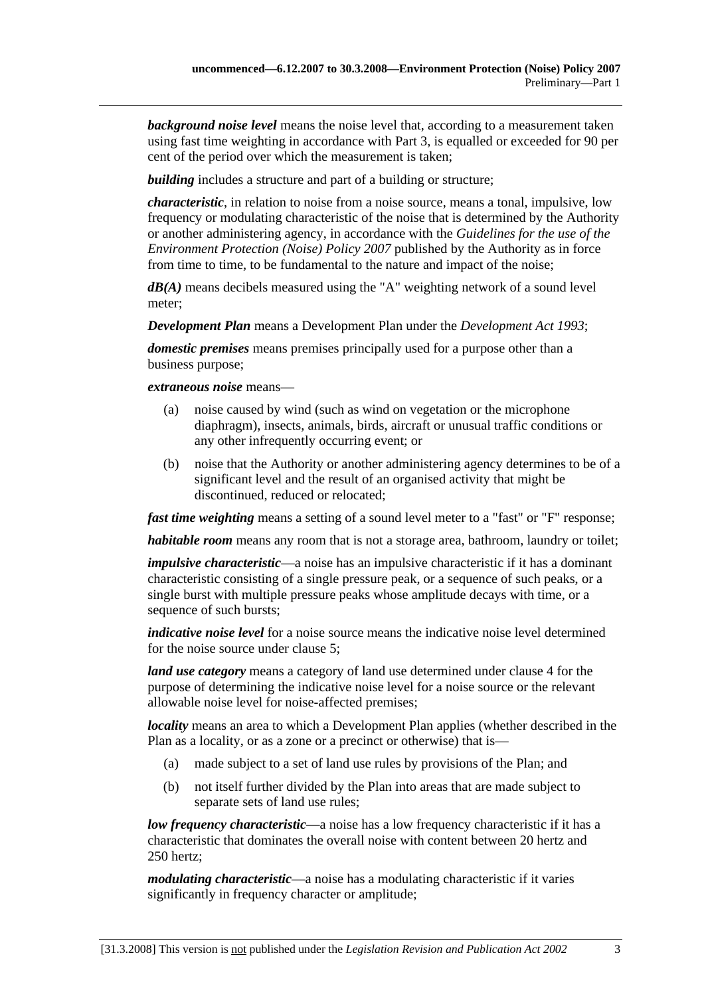*background noise level* means the noise level that, according to a measurement taken using fast time weighting in accordance with Part 3, is equalled or exceeded for 90 per cent of the period over which the measurement is taken;

*building* includes a structure and part of a building or structure:

*characteristic*, in relation to noise from a noise source, means a tonal, impulsive, low frequency or modulating characteristic of the noise that is determined by the Authority or another administering agency, in accordance with the *Guidelines for the use of the Environment Protection (Noise) Policy 2007* published by the Authority as in force from time to time, to be fundamental to the nature and impact of the noise;

*dB(A)* means decibels measured using the "A" weighting network of a sound level meter;

*Development Plan* means a Development Plan under the *Development Act 1993*;

*domestic premises* means premises principally used for a purpose other than a business purpose;

*extraneous noise* means—

- (a) noise caused by wind (such as wind on vegetation or the microphone diaphragm), insects, animals, birds, aircraft or unusual traffic conditions or any other infrequently occurring event; or
- (b) noise that the Authority or another administering agency determines to be of a significant level and the result of an organised activity that might be discontinued, reduced or relocated;

*fast time weighting* means a setting of a sound level meter to a "fast" or "F" response;

*habitable room* means any room that is not a storage area, bathroom, laundry or toilet;

*impulsive characteristic*—a noise has an impulsive characteristic if it has a dominant characteristic consisting of a single pressure peak, or a sequence of such peaks, or a single burst with multiple pressure peaks whose amplitude decays with time, or a sequence of such bursts;

*indicative noise level* for a noise source means the indicative noise level determined for the noise source under clause 5;

*land use category* means a category of land use determined under clause 4 for the purpose of determining the indicative noise level for a noise source or the relevant allowable noise level for noise-affected premises;

*locality* means an area to which a Development Plan applies (whether described in the Plan as a locality, or as a zone or a precinct or otherwise) that is—

- (a) made subject to a set of land use rules by provisions of the Plan; and
- (b) not itself further divided by the Plan into areas that are made subject to separate sets of land use rules;

*low frequency characteristic*—a noise has a low frequency characteristic if it has a characteristic that dominates the overall noise with content between 20 hertz and 250 hertz;

*modulating characteristic*—a noise has a modulating characteristic if it varies significantly in frequency character or amplitude;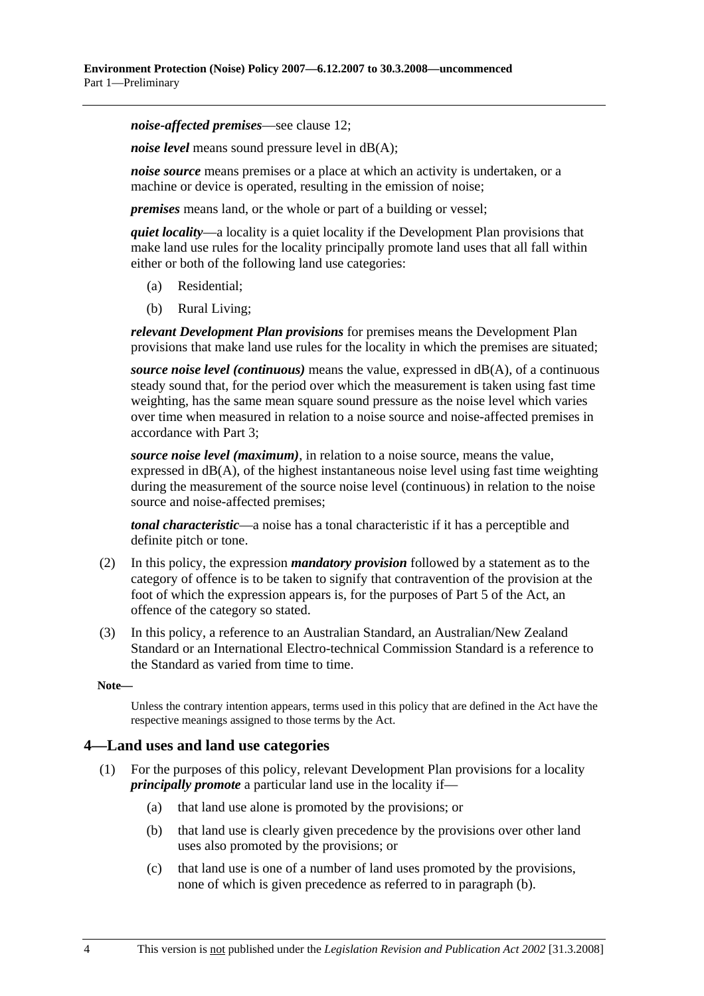*noise-affected premises*—see clause 12;

*noise level* means sound pressure level in dB(A);

*noise source* means premises or a place at which an activity is undertaken, or a machine or device is operated, resulting in the emission of noise;

*premises* means land, or the whole or part of a building or vessel;

*quiet locality*—a locality is a quiet locality if the Development Plan provisions that make land use rules for the locality principally promote land uses that all fall within either or both of the following land use categories:

- (a) Residential;
- (b) Rural Living;

*relevant Development Plan provisions* for premises means the Development Plan provisions that make land use rules for the locality in which the premises are situated;

*source noise level (continuous)* means the value, expressed in dB(A), of a continuous steady sound that, for the period over which the measurement is taken using fast time weighting, has the same mean square sound pressure as the noise level which varies over time when measured in relation to a noise source and noise-affected premises in accordance with Part 3;

*source noise level (maximum)*, in relation to a noise source, means the value, expressed in  $dB(A)$ , of the highest instantaneous noise level using fast time weighting during the measurement of the source noise level (continuous) in relation to the noise source and noise-affected premises;

*tonal characteristic*—a noise has a tonal characteristic if it has a perceptible and definite pitch or tone.

- (2) In this policy, the expression *mandatory provision* followed by a statement as to the category of offence is to be taken to signify that contravention of the provision at the foot of which the expression appears is, for the purposes of Part 5 of the Act, an offence of the category so stated.
- (3) In this policy, a reference to an Australian Standard, an Australian/New Zealand Standard or an International Electro-technical Commission Standard is a reference to the Standard as varied from time to time.

**Note—** 

Unless the contrary intention appears, terms used in this policy that are defined in the Act have the respective meanings assigned to those terms by the Act.

#### **4—Land uses and land use categories**

- (1) For the purposes of this policy, relevant Development Plan provisions for a locality *principally promote* a particular land use in the locality if—
	- (a) that land use alone is promoted by the provisions; or
	- (b) that land use is clearly given precedence by the provisions over other land uses also promoted by the provisions; or
	- (c) that land use is one of a number of land uses promoted by the provisions, none of which is given precedence as referred to in paragraph (b).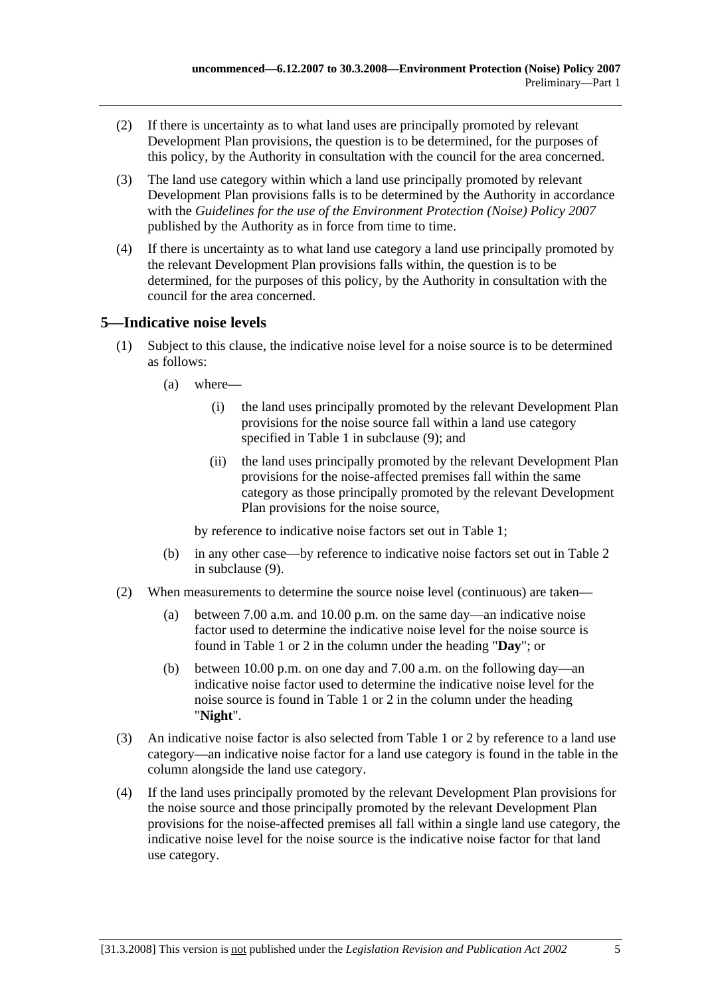- (2) If there is uncertainty as to what land uses are principally promoted by relevant Development Plan provisions, the question is to be determined, for the purposes of this policy, by the Authority in consultation with the council for the area concerned.
- (3) The land use category within which a land use principally promoted by relevant Development Plan provisions falls is to be determined by the Authority in accordance with the *Guidelines for the use of the Environment Protection (Noise) Policy 2007* published by the Authority as in force from time to time.
- (4) If there is uncertainty as to what land use category a land use principally promoted by the relevant Development Plan provisions falls within, the question is to be determined, for the purposes of this policy, by the Authority in consultation with the council for the area concerned.

## **5—Indicative noise levels**

- (1) Subject to this clause, the indicative noise level for a noise source is to be determined as follows:
	- (a) where—
		- (i) the land uses principally promoted by the relevant Development Plan provisions for the noise source fall within a land use category specified in Table 1 in subclause (9); and
		- (ii) the land uses principally promoted by the relevant Development Plan provisions for the noise-affected premises fall within the same category as those principally promoted by the relevant Development Plan provisions for the noise source,

by reference to indicative noise factors set out in Table 1;

- (b) in any other case—by reference to indicative noise factors set out in Table 2 in subclause (9).
- (2) When measurements to determine the source noise level (continuous) are taken—
	- (a) between 7.00 a.m. and 10.00 p.m. on the same day—an indicative noise factor used to determine the indicative noise level for the noise source is found in Table 1 or 2 in the column under the heading "**Day**"; or
	- (b) between 10.00 p.m. on one day and 7.00 a.m. on the following day—an indicative noise factor used to determine the indicative noise level for the noise source is found in Table 1 or 2 in the column under the heading "**Night**".
- (3) An indicative noise factor is also selected from Table 1 or 2 by reference to a land use category—an indicative noise factor for a land use category is found in the table in the column alongside the land use category.
- (4) If the land uses principally promoted by the relevant Development Plan provisions for the noise source and those principally promoted by the relevant Development Plan provisions for the noise-affected premises all fall within a single land use category, the indicative noise level for the noise source is the indicative noise factor for that land use category.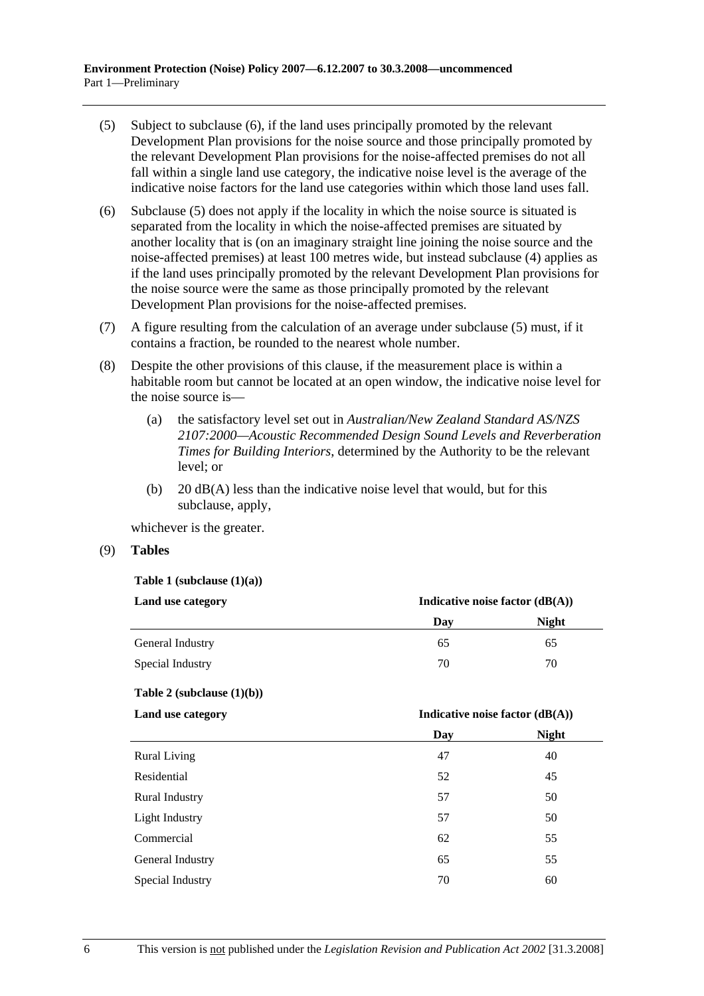- (5) Subject to subclause (6), if the land uses principally promoted by the relevant Development Plan provisions for the noise source and those principally promoted by the relevant Development Plan provisions for the noise-affected premises do not all fall within a single land use category, the indicative noise level is the average of the indicative noise factors for the land use categories within which those land uses fall.
- (6) Subclause (5) does not apply if the locality in which the noise source is situated is separated from the locality in which the noise-affected premises are situated by another locality that is (on an imaginary straight line joining the noise source and the noise-affected premises) at least 100 metres wide, but instead subclause (4) applies as if the land uses principally promoted by the relevant Development Plan provisions for the noise source were the same as those principally promoted by the relevant Development Plan provisions for the noise-affected premises.
- (7) A figure resulting from the calculation of an average under subclause (5) must, if it contains a fraction, be rounded to the nearest whole number.
- (8) Despite the other provisions of this clause, if the measurement place is within a habitable room but cannot be located at an open window, the indicative noise level for the noise source is—
	- (a) the satisfactory level set out in *Australian/New Zealand Standard AS/NZS 2107:2000—Acoustic Recommended Design Sound Levels and Reverberation Times for Building Interiors*, determined by the Authority to be the relevant level; or
	- (b)  $20 \text{ dB}(A)$  less than the indicative noise level that would, but for this subclause, apply,

whichever is the greater.

(9) **Tables**

**Table 1 (subclause (1)(a))** 

| Land use category | Indicative noise factor $(dB(A))$ |              |
|-------------------|-----------------------------------|--------------|
|                   | Day                               | <b>Night</b> |
| General Industry  | 65                                | 65           |
| Special Industry  | 70                                | 70           |

**Table 2 (subclause (1)(b))** 

**Land use category** 

|                       | Day | <b>Night</b> |
|-----------------------|-----|--------------|
| <b>Rural Living</b>   | 47  | 40           |
| Residential           | 52  | 45           |
| <b>Rural Industry</b> | 57  | 50           |
| Light Industry        | 57  | 50           |
| Commercial            | 62  | 55           |
| General Industry      | 65  | 55           |
| Special Industry      | 70  | 60           |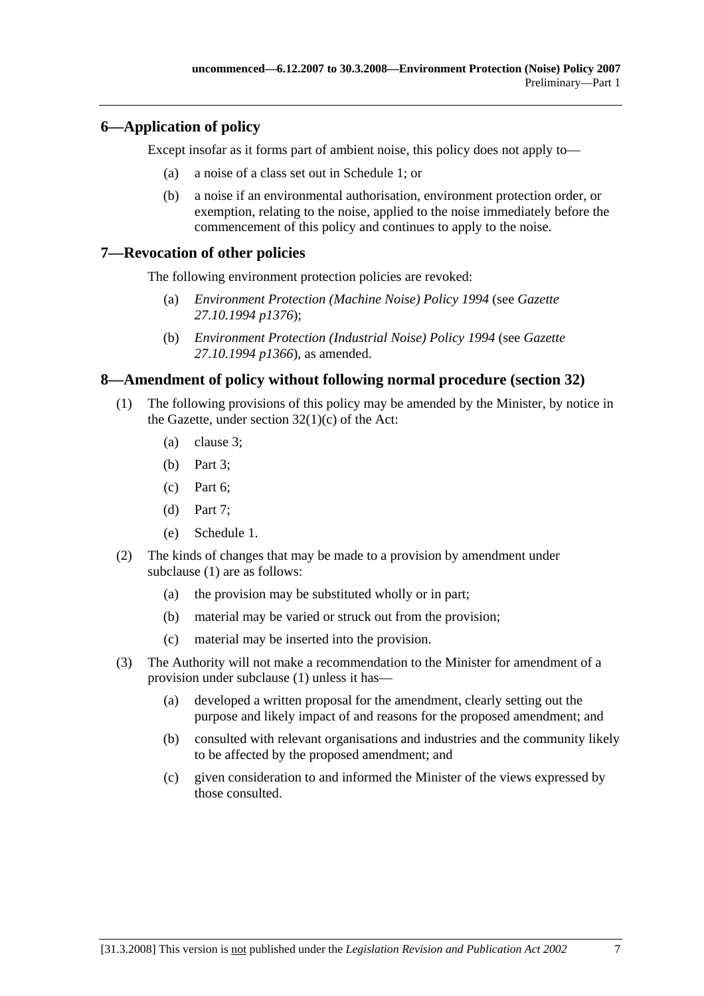### **6—Application of policy**

Except insofar as it forms part of ambient noise, this policy does not apply to—

- (a) a noise of a class set out in Schedule 1; or
- (b) a noise if an environmental authorisation, environment protection order, or exemption, relating to the noise, applied to the noise immediately before the commencement of this policy and continues to apply to the noise.

### **7—Revocation of other policies**

The following environment protection policies are revoked:

- (a) *Environment Protection (Machine Noise) Policy 1994* (see *Gazette 27.10.1994 p1376*);
- (b) *Environment Protection (Industrial Noise) Policy 1994* (see *Gazette 27.10.1994 p1366*), as amended.

### **8—Amendment of policy without following normal procedure (section 32)**

- (1) The following provisions of this policy may be amended by the Minister, by notice in the Gazette, under section  $32(1)(c)$  of the Act:
	- (a) clause 3;
	- (b) Part 3;
	- (c) Part 6;
	- (d) Part 7;
	- (e) Schedule 1.
- (2) The kinds of changes that may be made to a provision by amendment under subclause (1) are as follows:
	- (a) the provision may be substituted wholly or in part;
	- (b) material may be varied or struck out from the provision;
	- (c) material may be inserted into the provision.
- (3) The Authority will not make a recommendation to the Minister for amendment of a provision under subclause (1) unless it has—
	- (a) developed a written proposal for the amendment, clearly setting out the purpose and likely impact of and reasons for the proposed amendment; and
	- (b) consulted with relevant organisations and industries and the community likely to be affected by the proposed amendment; and
	- (c) given consideration to and informed the Minister of the views expressed by those consulted.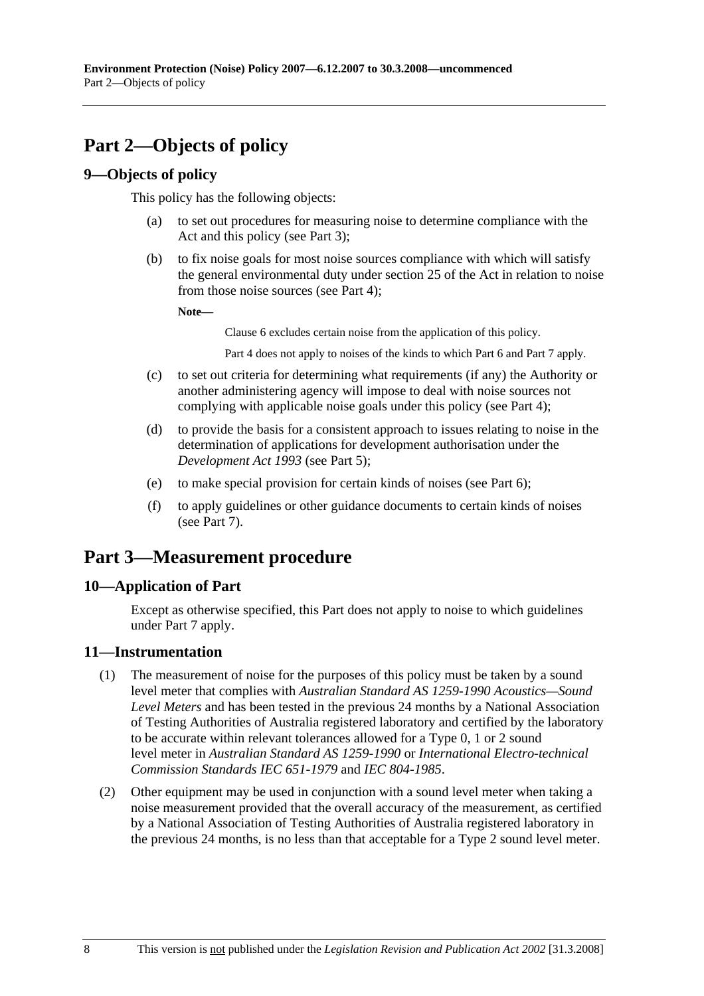# **Part 2—Objects of policy**

### **9—Objects of policy**

This policy has the following objects:

- (a) to set out procedures for measuring noise to determine compliance with the Act and this policy (see Part 3);
- (b) to fix noise goals for most noise sources compliance with which will satisfy the general environmental duty under section 25 of the Act in relation to noise from those noise sources (see Part 4);

**Note—** 

Clause 6 excludes certain noise from the application of this policy.

Part 4 does not apply to noises of the kinds to which Part 6 and Part 7 apply.

- (c) to set out criteria for determining what requirements (if any) the Authority or another administering agency will impose to deal with noise sources not complying with applicable noise goals under this policy (see Part 4);
- (d) to provide the basis for a consistent approach to issues relating to noise in the determination of applications for development authorisation under the *Development Act 1993* (see Part 5);
- (e) to make special provision for certain kinds of noises (see Part 6);
- (f) to apply guidelines or other guidance documents to certain kinds of noises (see Part 7).

## **Part 3—Measurement procedure**

### **10—Application of Part**

Except as otherwise specified, this Part does not apply to noise to which guidelines under Part 7 apply.

### **11—Instrumentation**

- (1) The measurement of noise for the purposes of this policy must be taken by a sound level meter that complies with *Australian Standard AS 1259-1990 Acoustics—Sound Level Meters* and has been tested in the previous 24 months by a National Association of Testing Authorities of Australia registered laboratory and certified by the laboratory to be accurate within relevant tolerances allowed for a Type 0, 1 or 2 sound level meter in *Australian Standard AS 1259-1990* or *International Electro-technical Commission Standards IEC 651-1979* and *IEC 804-1985*.
- (2) Other equipment may be used in conjunction with a sound level meter when taking a noise measurement provided that the overall accuracy of the measurement, as certified by a National Association of Testing Authorities of Australia registered laboratory in the previous 24 months, is no less than that acceptable for a Type 2 sound level meter.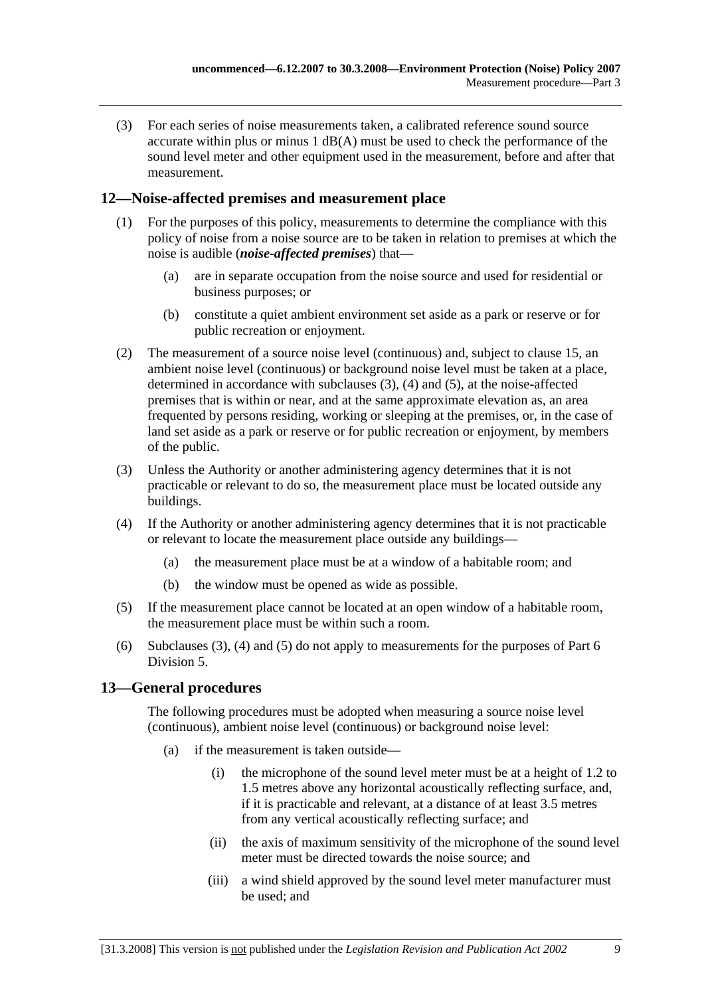(3) For each series of noise measurements taken, a calibrated reference sound source accurate within plus or minus 1 dB(A) must be used to check the performance of the sound level meter and other equipment used in the measurement, before and after that measurement.

### **12—Noise-affected premises and measurement place**

- (1) For the purposes of this policy, measurements to determine the compliance with this policy of noise from a noise source are to be taken in relation to premises at which the noise is audible (*noise-affected premises*) that—
	- (a) are in separate occupation from the noise source and used for residential or business purposes; or
	- (b) constitute a quiet ambient environment set aside as a park or reserve or for public recreation or enjoyment.
- (2) The measurement of a source noise level (continuous) and, subject to clause 15, an ambient noise level (continuous) or background noise level must be taken at a place, determined in accordance with subclauses (3), (4) and (5), at the noise-affected premises that is within or near, and at the same approximate elevation as, an area frequented by persons residing, working or sleeping at the premises, or, in the case of land set aside as a park or reserve or for public recreation or enjoyment, by members of the public.
- (3) Unless the Authority or another administering agency determines that it is not practicable or relevant to do so, the measurement place must be located outside any buildings.
- (4) If the Authority or another administering agency determines that it is not practicable or relevant to locate the measurement place outside any buildings—
	- (a) the measurement place must be at a window of a habitable room; and
	- (b) the window must be opened as wide as possible.
- (5) If the measurement place cannot be located at an open window of a habitable room, the measurement place must be within such a room.
- (6) Subclauses (3), (4) and (5) do not apply to measurements for the purposes of Part 6 Division 5.

### **13—General procedures**

The following procedures must be adopted when measuring a source noise level (continuous), ambient noise level (continuous) or background noise level:

- (a) if the measurement is taken outside—
	- (i) the microphone of the sound level meter must be at a height of 1.2 to 1.5 metres above any horizontal acoustically reflecting surface, and, if it is practicable and relevant, at a distance of at least 3.5 metres from any vertical acoustically reflecting surface; and
	- (ii) the axis of maximum sensitivity of the microphone of the sound level meter must be directed towards the noise source; and
	- (iii) a wind shield approved by the sound level meter manufacturer must be used; and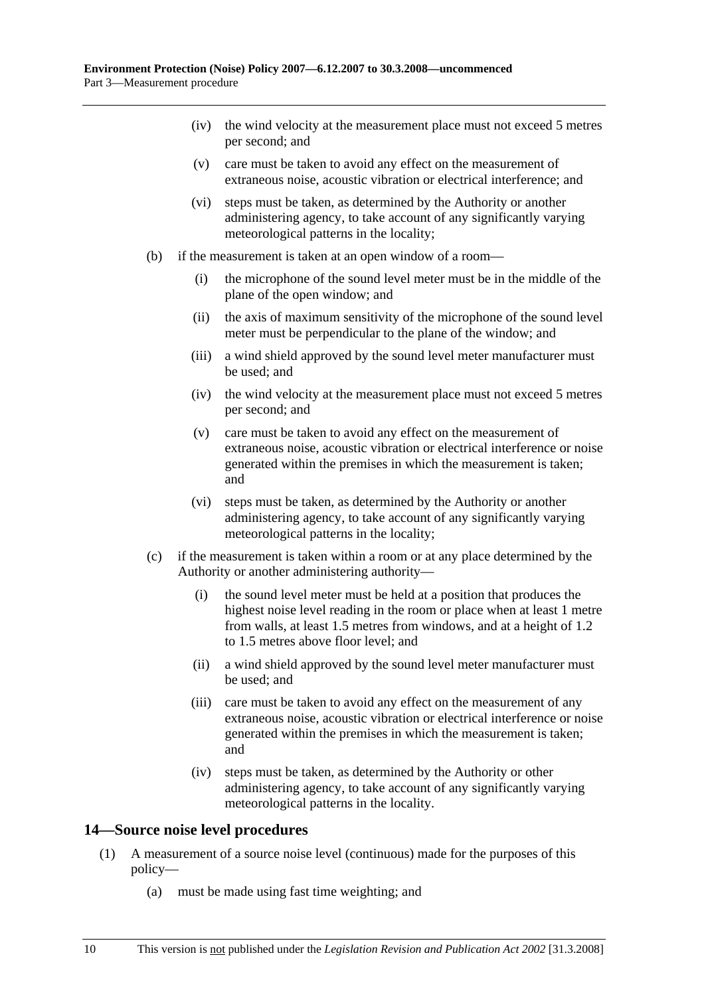- (iv) the wind velocity at the measurement place must not exceed 5 metres per second; and
- (v) care must be taken to avoid any effect on the measurement of extraneous noise, acoustic vibration or electrical interference; and
- (vi) steps must be taken, as determined by the Authority or another administering agency, to take account of any significantly varying meteorological patterns in the locality;
- (b) if the measurement is taken at an open window of a room—
	- (i) the microphone of the sound level meter must be in the middle of the plane of the open window; and
	- (ii) the axis of maximum sensitivity of the microphone of the sound level meter must be perpendicular to the plane of the window; and
	- (iii) a wind shield approved by the sound level meter manufacturer must be used; and
	- (iv) the wind velocity at the measurement place must not exceed 5 metres per second; and
	- (v) care must be taken to avoid any effect on the measurement of extraneous noise, acoustic vibration or electrical interference or noise generated within the premises in which the measurement is taken; and
	- (vi) steps must be taken, as determined by the Authority or another administering agency, to take account of any significantly varying meteorological patterns in the locality;
- (c) if the measurement is taken within a room or at any place determined by the Authority or another administering authority—
	- (i) the sound level meter must be held at a position that produces the highest noise level reading in the room or place when at least 1 metre from walls, at least 1.5 metres from windows, and at a height of 1.2 to 1.5 metres above floor level; and
	- (ii) a wind shield approved by the sound level meter manufacturer must be used; and
	- (iii) care must be taken to avoid any effect on the measurement of any extraneous noise, acoustic vibration or electrical interference or noise generated within the premises in which the measurement is taken; and
	- (iv) steps must be taken, as determined by the Authority or other administering agency, to take account of any significantly varying meteorological patterns in the locality.

### **14—Source noise level procedures**

- (1) A measurement of a source noise level (continuous) made for the purposes of this policy—
	- (a) must be made using fast time weighting; and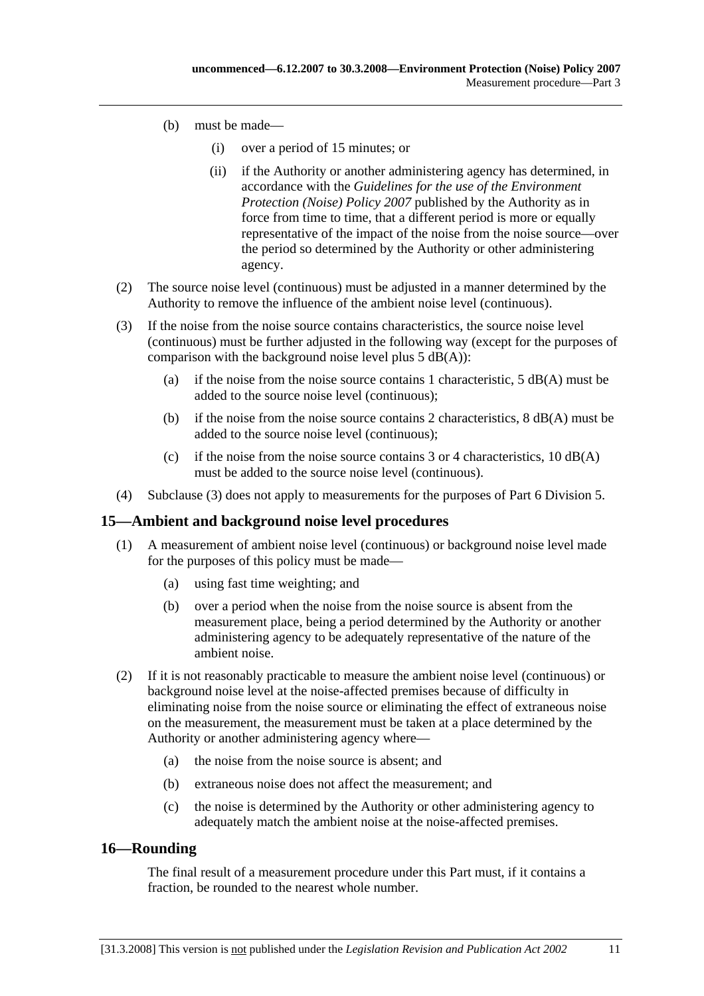- (b) must be made—
	- (i) over a period of 15 minutes; or
	- (ii) if the Authority or another administering agency has determined, in accordance with the *Guidelines for the use of the Environment Protection (Noise) Policy 2007* published by the Authority as in force from time to time, that a different period is more or equally representative of the impact of the noise from the noise source—over the period so determined by the Authority or other administering agency.
- (2) The source noise level (continuous) must be adjusted in a manner determined by the Authority to remove the influence of the ambient noise level (continuous).
- (3) If the noise from the noise source contains characteristics, the source noise level (continuous) must be further adjusted in the following way (except for the purposes of comparison with the background noise level plus  $5$  dB(A)):
	- (a) if the noise from the noise source contains 1 characteristic,  $5 \text{ dB}(A)$  must be added to the source noise level (continuous);
	- (b) if the noise from the noise source contains 2 characteristics,  $8 \text{ dB}(A)$  must be added to the source noise level (continuous);
	- (c) if the noise from the noise source contains  $3$  or  $4$  characteristics,  $10$  dB(A) must be added to the source noise level (continuous).
- (4) Subclause (3) does not apply to measurements for the purposes of Part 6 Division 5.

#### **15—Ambient and background noise level procedures**

- (1) A measurement of ambient noise level (continuous) or background noise level made for the purposes of this policy must be made—
	- (a) using fast time weighting; and
	- (b) over a period when the noise from the noise source is absent from the measurement place, being a period determined by the Authority or another administering agency to be adequately representative of the nature of the ambient noise.
- (2) If it is not reasonably practicable to measure the ambient noise level (continuous) or background noise level at the noise-affected premises because of difficulty in eliminating noise from the noise source or eliminating the effect of extraneous noise on the measurement, the measurement must be taken at a place determined by the Authority or another administering agency where—
	- (a) the noise from the noise source is absent; and
	- (b) extraneous noise does not affect the measurement; and
	- (c) the noise is determined by the Authority or other administering agency to adequately match the ambient noise at the noise-affected premises.

### **16—Rounding**

The final result of a measurement procedure under this Part must, if it contains a fraction, be rounded to the nearest whole number.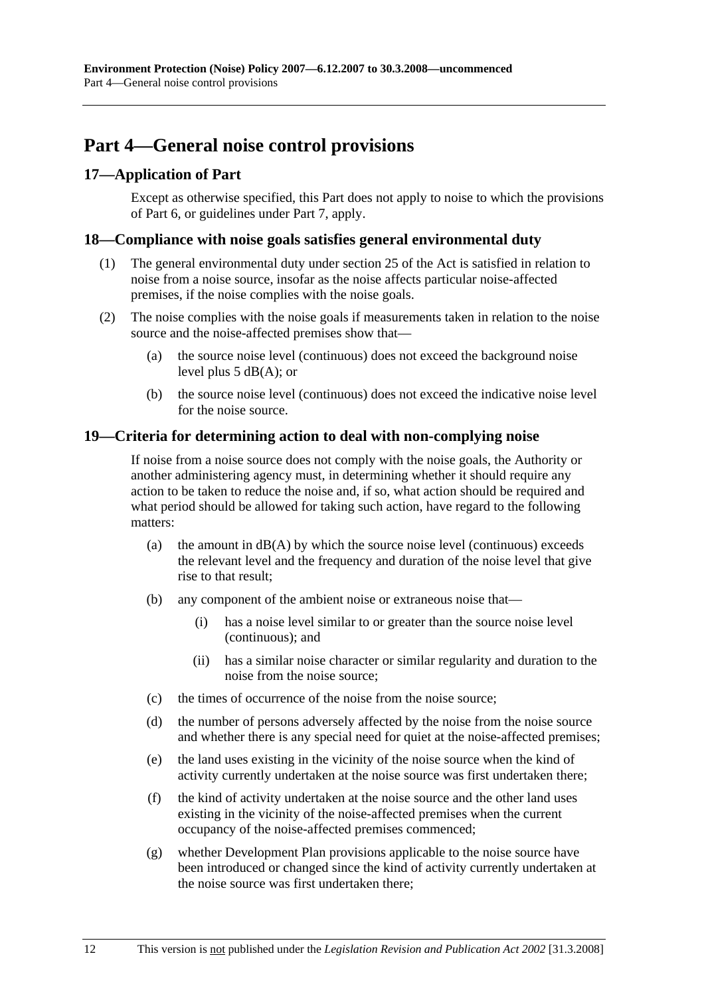## **Part 4—General noise control provisions**

### **17—Application of Part**

Except as otherwise specified, this Part does not apply to noise to which the provisions of Part 6, or guidelines under Part 7, apply.

### **18—Compliance with noise goals satisfies general environmental duty**

- (1) The general environmental duty under section 25 of the Act is satisfied in relation to noise from a noise source, insofar as the noise affects particular noise-affected premises, if the noise complies with the noise goals.
- (2) The noise complies with the noise goals if measurements taken in relation to the noise source and the noise-affected premises show that—
	- (a) the source noise level (continuous) does not exceed the background noise level plus 5 dB(A); or
	- (b) the source noise level (continuous) does not exceed the indicative noise level for the noise source.

### **19—Criteria for determining action to deal with non-complying noise**

If noise from a noise source does not comply with the noise goals, the Authority or another administering agency must, in determining whether it should require any action to be taken to reduce the noise and, if so, what action should be required and what period should be allowed for taking such action, have regard to the following matters:

- (a) the amount in  $dB(A)$  by which the source noise level (continuous) exceeds the relevant level and the frequency and duration of the noise level that give rise to that result;
- (b) any component of the ambient noise or extraneous noise that—
	- (i) has a noise level similar to or greater than the source noise level (continuous); and
	- (ii) has a similar noise character or similar regularity and duration to the noise from the noise source;
- (c) the times of occurrence of the noise from the noise source;
- (d) the number of persons adversely affected by the noise from the noise source and whether there is any special need for quiet at the noise-affected premises;
- (e) the land uses existing in the vicinity of the noise source when the kind of activity currently undertaken at the noise source was first undertaken there;
- (f) the kind of activity undertaken at the noise source and the other land uses existing in the vicinity of the noise-affected premises when the current occupancy of the noise-affected premises commenced;
- (g) whether Development Plan provisions applicable to the noise source have been introduced or changed since the kind of activity currently undertaken at the noise source was first undertaken there;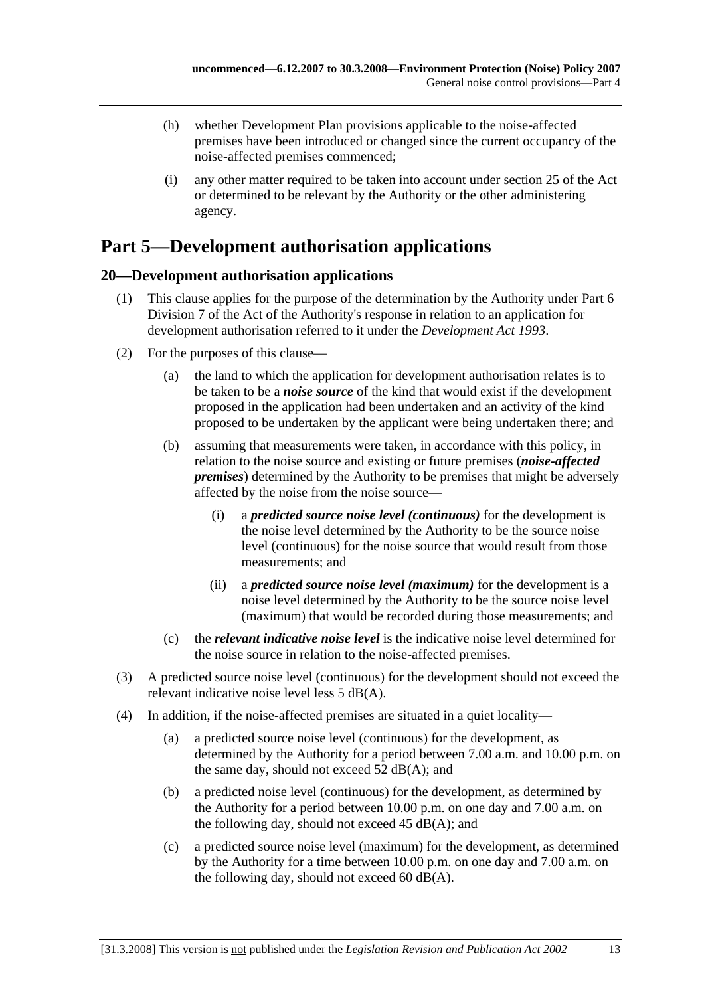- (h) whether Development Plan provisions applicable to the noise-affected premises have been introduced or changed since the current occupancy of the noise-affected premises commenced;
- (i) any other matter required to be taken into account under section 25 of the Act or determined to be relevant by the Authority or the other administering agency.

## **Part 5—Development authorisation applications**

## **20—Development authorisation applications**

- (1) This clause applies for the purpose of the determination by the Authority under Part 6 Division 7 of the Act of the Authority's response in relation to an application for development authorisation referred to it under the *Development Act 1993*.
- (2) For the purposes of this clause—
	- (a) the land to which the application for development authorisation relates is to be taken to be a *noise source* of the kind that would exist if the development proposed in the application had been undertaken and an activity of the kind proposed to be undertaken by the applicant were being undertaken there; and
	- (b) assuming that measurements were taken, in accordance with this policy, in relation to the noise source and existing or future premises (*noise-affected premises*) determined by the Authority to be premises that might be adversely affected by the noise from the noise source—
		- (i) a *predicted source noise level (continuous)* for the development is the noise level determined by the Authority to be the source noise level (continuous) for the noise source that would result from those measurements; and
		- (ii) a *predicted source noise level (maximum)* for the development is a noise level determined by the Authority to be the source noise level (maximum) that would be recorded during those measurements; and
	- (c) the *relevant indicative noise level* is the indicative noise level determined for the noise source in relation to the noise-affected premises.
- (3) A predicted source noise level (continuous) for the development should not exceed the relevant indicative noise level less 5 dB(A).
- (4) In addition, if the noise-affected premises are situated in a quiet locality—
	- (a) a predicted source noise level (continuous) for the development, as determined by the Authority for a period between 7.00 a.m. and 10.00 p.m. on the same day, should not exceed 52 dB(A); and
	- (b) a predicted noise level (continuous) for the development, as determined by the Authority for a period between 10.00 p.m. on one day and 7.00 a.m. on the following day, should not exceed  $45$  dB(A); and
	- (c) a predicted source noise level (maximum) for the development, as determined by the Authority for a time between 10.00 p.m. on one day and 7.00 a.m. on the following day, should not exceed 60  $dB(A)$ .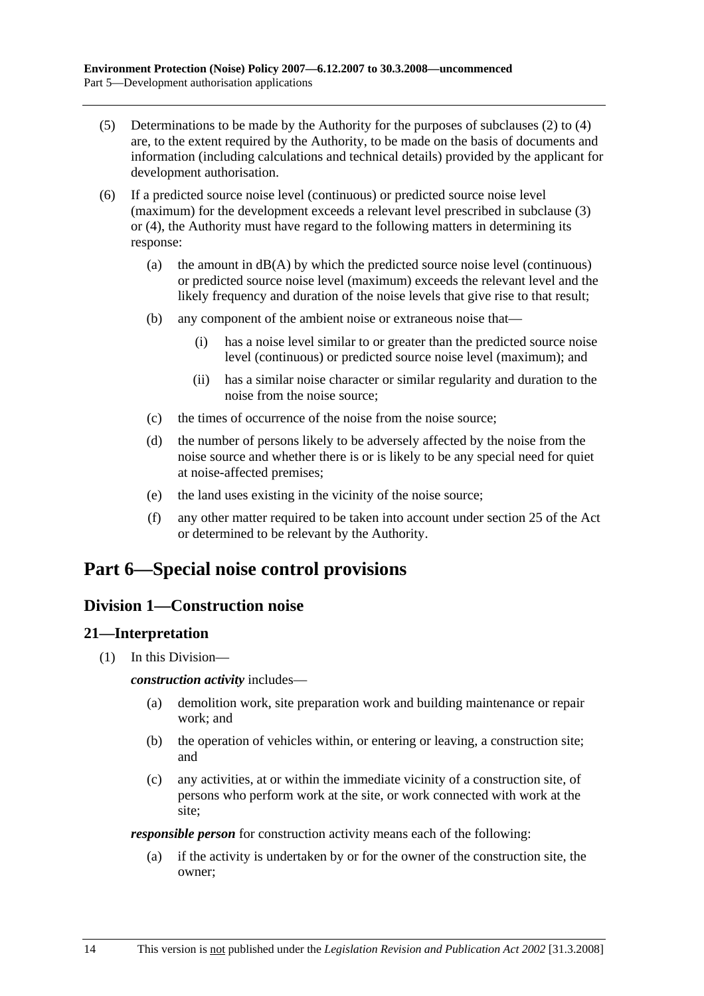- (5) Determinations to be made by the Authority for the purposes of subclauses (2) to (4) are, to the extent required by the Authority, to be made on the basis of documents and information (including calculations and technical details) provided by the applicant for development authorisation.
- (6) If a predicted source noise level (continuous) or predicted source noise level (maximum) for the development exceeds a relevant level prescribed in subclause (3) or (4), the Authority must have regard to the following matters in determining its response:
	- (a) the amount in  $dB(A)$  by which the predicted source noise level (continuous) or predicted source noise level (maximum) exceeds the relevant level and the likely frequency and duration of the noise levels that give rise to that result;
	- (b) any component of the ambient noise or extraneous noise that—
		- (i) has a noise level similar to or greater than the predicted source noise level (continuous) or predicted source noise level (maximum); and
		- (ii) has a similar noise character or similar regularity and duration to the noise from the noise source;
	- (c) the times of occurrence of the noise from the noise source;
	- (d) the number of persons likely to be adversely affected by the noise from the noise source and whether there is or is likely to be any special need for quiet at noise-affected premises;
	- (e) the land uses existing in the vicinity of the noise source;
	- (f) any other matter required to be taken into account under section 25 of the Act or determined to be relevant by the Authority.

## **Part 6—Special noise control provisions**

## **Division 1—Construction noise**

### **21—Interpretation**

(1) In this Division—

#### *construction activity* includes—

- (a) demolition work, site preparation work and building maintenance or repair work; and
- (b) the operation of vehicles within, or entering or leaving, a construction site; and
- (c) any activities, at or within the immediate vicinity of a construction site, of persons who perform work at the site, or work connected with work at the site;

*responsible person* for construction activity means each of the following:

 (a) if the activity is undertaken by or for the owner of the construction site, the owner;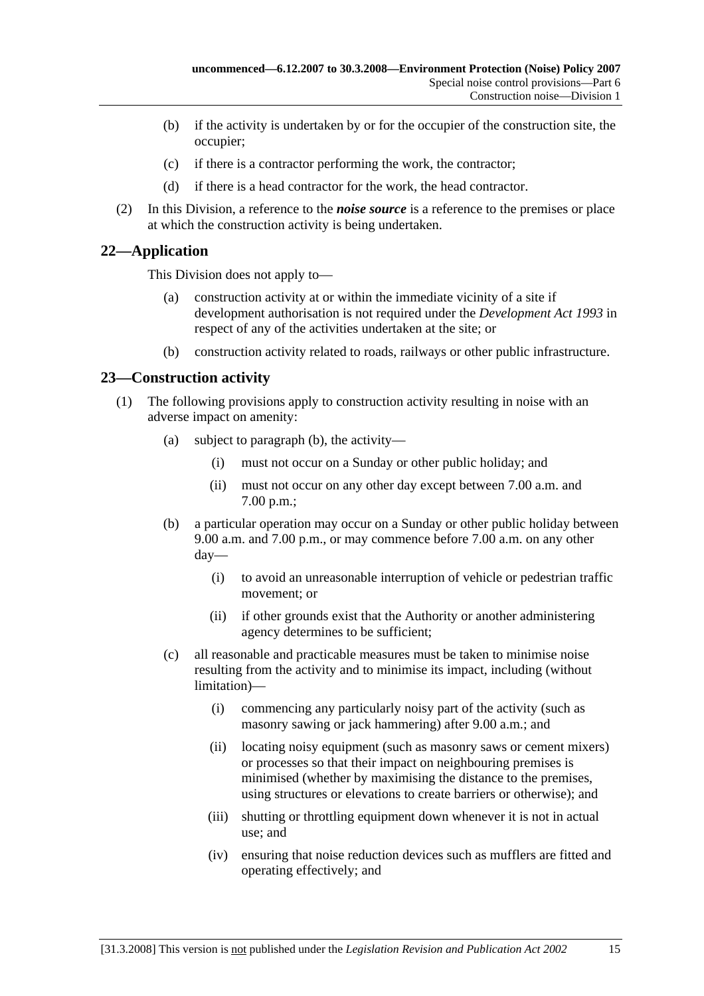- (b) if the activity is undertaken by or for the occupier of the construction site, the occupier;
- (c) if there is a contractor performing the work, the contractor;
- (d) if there is a head contractor for the work, the head contractor.
- (2) In this Division, a reference to the *noise source* is a reference to the premises or place at which the construction activity is being undertaken.

## **22—Application**

This Division does not apply to—

- (a) construction activity at or within the immediate vicinity of a site if development authorisation is not required under the *Development Act 1993* in respect of any of the activities undertaken at the site; or
- (b) construction activity related to roads, railways or other public infrastructure.

### **23—Construction activity**

- (1) The following provisions apply to construction activity resulting in noise with an adverse impact on amenity:
	- (a) subject to paragraph (b), the activity—
		- (i) must not occur on a Sunday or other public holiday; and
		- (ii) must not occur on any other day except between 7.00 a.m. and 7.00 p.m.;
	- (b) a particular operation may occur on a Sunday or other public holiday between 9.00 a.m. and 7.00 p.m., or may commence before 7.00 a.m. on any other day—
		- (i) to avoid an unreasonable interruption of vehicle or pedestrian traffic movement; or
		- (ii) if other grounds exist that the Authority or another administering agency determines to be sufficient;
	- (c) all reasonable and practicable measures must be taken to minimise noise resulting from the activity and to minimise its impact, including (without limitation)—
		- (i) commencing any particularly noisy part of the activity (such as masonry sawing or jack hammering) after 9.00 a.m.; and
		- (ii) locating noisy equipment (such as masonry saws or cement mixers) or processes so that their impact on neighbouring premises is minimised (whether by maximising the distance to the premises, using structures or elevations to create barriers or otherwise); and
		- (iii) shutting or throttling equipment down whenever it is not in actual use; and
		- (iv) ensuring that noise reduction devices such as mufflers are fitted and operating effectively; and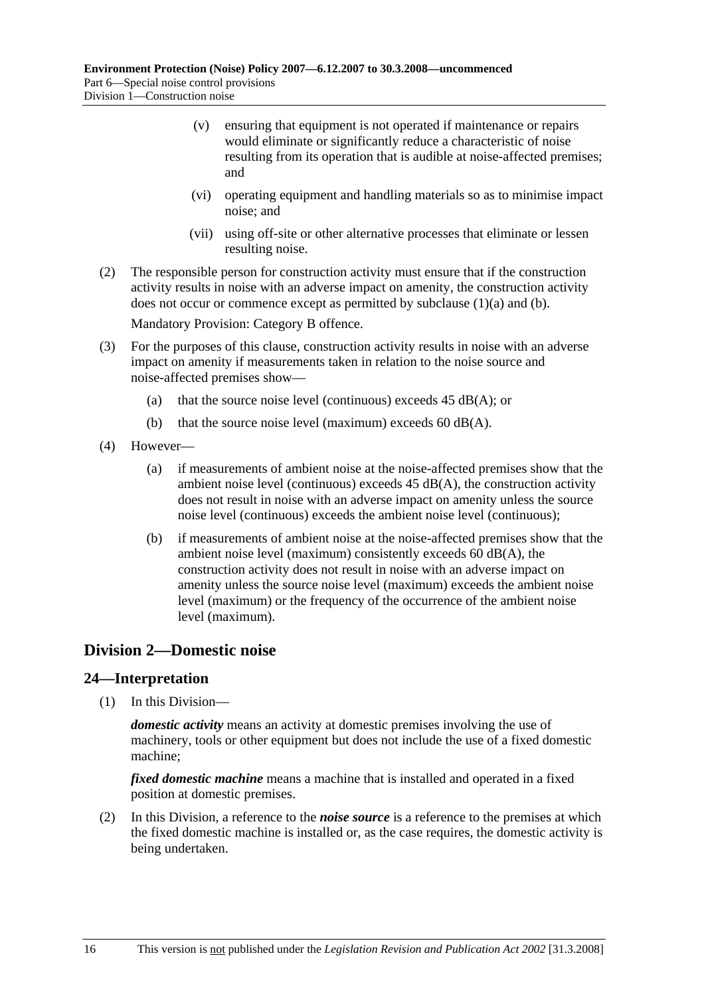- (v) ensuring that equipment is not operated if maintenance or repairs would eliminate or significantly reduce a characteristic of noise resulting from its operation that is audible at noise-affected premises; and
- (vi) operating equipment and handling materials so as to minimise impact noise; and
- (vii) using off-site or other alternative processes that eliminate or lessen resulting noise.
- (2) The responsible person for construction activity must ensure that if the construction activity results in noise with an adverse impact on amenity, the construction activity does not occur or commence except as permitted by subclause (1)(a) and (b).

Mandatory Provision: Category B offence.

- (3) For the purposes of this clause, construction activity results in noise with an adverse impact on amenity if measurements taken in relation to the noise source and noise-affected premises show—
	- (a) that the source noise level (continuous) exceeds  $45$  dB(A); or
	- (b) that the source noise level (maximum) exceeds  $60$  dB(A).
- (4) However—
	- (a) if measurements of ambient noise at the noise-affected premises show that the ambient noise level (continuous) exceeds  $45$  dB(A), the construction activity does not result in noise with an adverse impact on amenity unless the source noise level (continuous) exceeds the ambient noise level (continuous);
	- (b) if measurements of ambient noise at the noise-affected premises show that the ambient noise level (maximum) consistently exceeds 60 dB(A), the construction activity does not result in noise with an adverse impact on amenity unless the source noise level (maximum) exceeds the ambient noise level (maximum) or the frequency of the occurrence of the ambient noise level (maximum).

## **Division 2—Domestic noise**

### **24—Interpretation**

(1) In this Division—

*domestic activity* means an activity at domestic premises involving the use of machinery, tools or other equipment but does not include the use of a fixed domestic machine;

*fixed domestic machine* means a machine that is installed and operated in a fixed position at domestic premises.

 (2) In this Division, a reference to the *noise source* is a reference to the premises at which the fixed domestic machine is installed or, as the case requires, the domestic activity is being undertaken.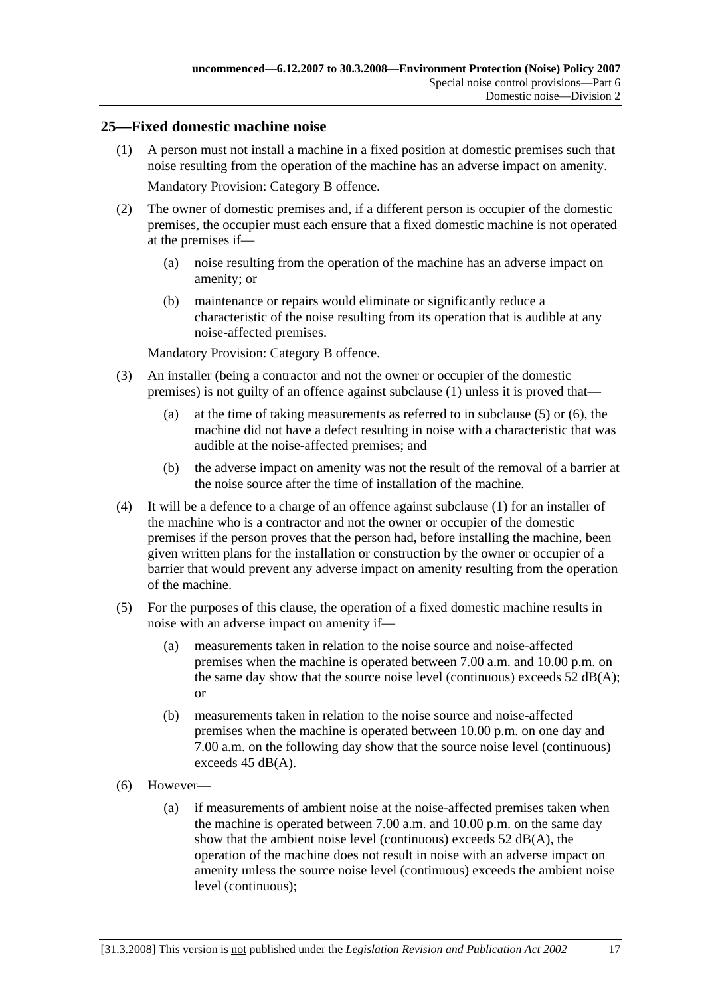### **25—Fixed domestic machine noise**

 (1) A person must not install a machine in a fixed position at domestic premises such that noise resulting from the operation of the machine has an adverse impact on amenity.

Mandatory Provision: Category B offence.

- (2) The owner of domestic premises and, if a different person is occupier of the domestic premises, the occupier must each ensure that a fixed domestic machine is not operated at the premises if—
	- (a) noise resulting from the operation of the machine has an adverse impact on amenity; or
	- (b) maintenance or repairs would eliminate or significantly reduce a characteristic of the noise resulting from its operation that is audible at any noise-affected premises.

Mandatory Provision: Category B offence.

- (3) An installer (being a contractor and not the owner or occupier of the domestic premises) is not guilty of an offence against subclause (1) unless it is proved that—
	- (a) at the time of taking measurements as referred to in subclause (5) or (6), the machine did not have a defect resulting in noise with a characteristic that was audible at the noise-affected premises; and
	- (b) the adverse impact on amenity was not the result of the removal of a barrier at the noise source after the time of installation of the machine.
- (4) It will be a defence to a charge of an offence against subclause (1) for an installer of the machine who is a contractor and not the owner or occupier of the domestic premises if the person proves that the person had, before installing the machine, been given written plans for the installation or construction by the owner or occupier of a barrier that would prevent any adverse impact on amenity resulting from the operation of the machine.
- (5) For the purposes of this clause, the operation of a fixed domestic machine results in noise with an adverse impact on amenity if—
	- (a) measurements taken in relation to the noise source and noise-affected premises when the machine is operated between 7.00 a.m. and 10.00 p.m. on the same day show that the source noise level (continuous) exceeds  $52 \text{ dB}(A)$ ; or
	- (b) measurements taken in relation to the noise source and noise-affected premises when the machine is operated between 10.00 p.m. on one day and 7.00 a.m. on the following day show that the source noise level (continuous) exceeds 45 dB(A).
- (6) However—
	- (a) if measurements of ambient noise at the noise-affected premises taken when the machine is operated between 7.00 a.m. and 10.00 p.m. on the same day show that the ambient noise level (continuous) exceeds 52 dB(A), the operation of the machine does not result in noise with an adverse impact on amenity unless the source noise level (continuous) exceeds the ambient noise level (continuous);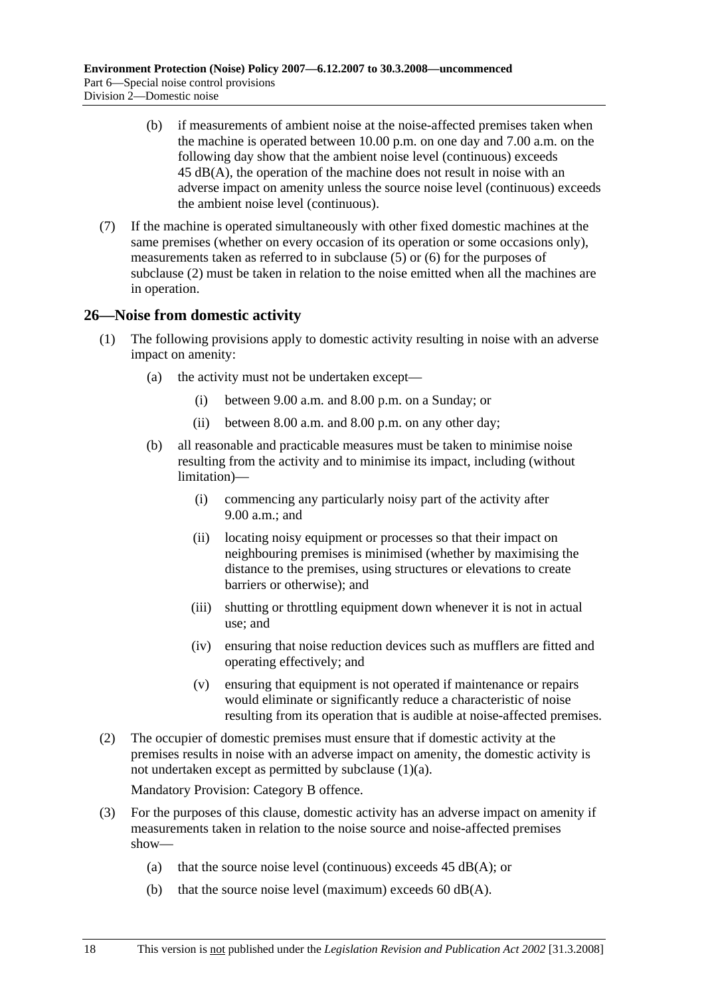- (b) if measurements of ambient noise at the noise-affected premises taken when the machine is operated between 10.00 p.m. on one day and 7.00 a.m. on the following day show that the ambient noise level (continuous) exceeds 45 dB(A), the operation of the machine does not result in noise with an adverse impact on amenity unless the source noise level (continuous) exceeds the ambient noise level (continuous).
- (7) If the machine is operated simultaneously with other fixed domestic machines at the same premises (whether on every occasion of its operation or some occasions only), measurements taken as referred to in subclause (5) or (6) for the purposes of subclause (2) must be taken in relation to the noise emitted when all the machines are in operation.

### **26—Noise from domestic activity**

- (1) The following provisions apply to domestic activity resulting in noise with an adverse impact on amenity:
	- (a) the activity must not be undertaken except—
		- (i) between 9.00 a.m. and 8.00 p.m. on a Sunday; or
		- (ii) between 8.00 a.m. and 8.00 p.m. on any other day;
	- (b) all reasonable and practicable measures must be taken to minimise noise resulting from the activity and to minimise its impact, including (without limitation)—
		- (i) commencing any particularly noisy part of the activity after 9.00 a.m.; and
		- (ii) locating noisy equipment or processes so that their impact on neighbouring premises is minimised (whether by maximising the distance to the premises, using structures or elevations to create barriers or otherwise); and
		- (iii) shutting or throttling equipment down whenever it is not in actual use; and
		- (iv) ensuring that noise reduction devices such as mufflers are fitted and operating effectively; and
		- (v) ensuring that equipment is not operated if maintenance or repairs would eliminate or significantly reduce a characteristic of noise resulting from its operation that is audible at noise-affected premises.
- (2) The occupier of domestic premises must ensure that if domestic activity at the premises results in noise with an adverse impact on amenity, the domestic activity is not undertaken except as permitted by subclause (1)(a).

Mandatory Provision: Category B offence.

- (3) For the purposes of this clause, domestic activity has an adverse impact on amenity if measurements taken in relation to the noise source and noise-affected premises show—
	- (a) that the source noise level (continuous) exceeds  $45$  dB(A); or
	- (b) that the source noise level (maximum) exceeds  $60$  dB(A).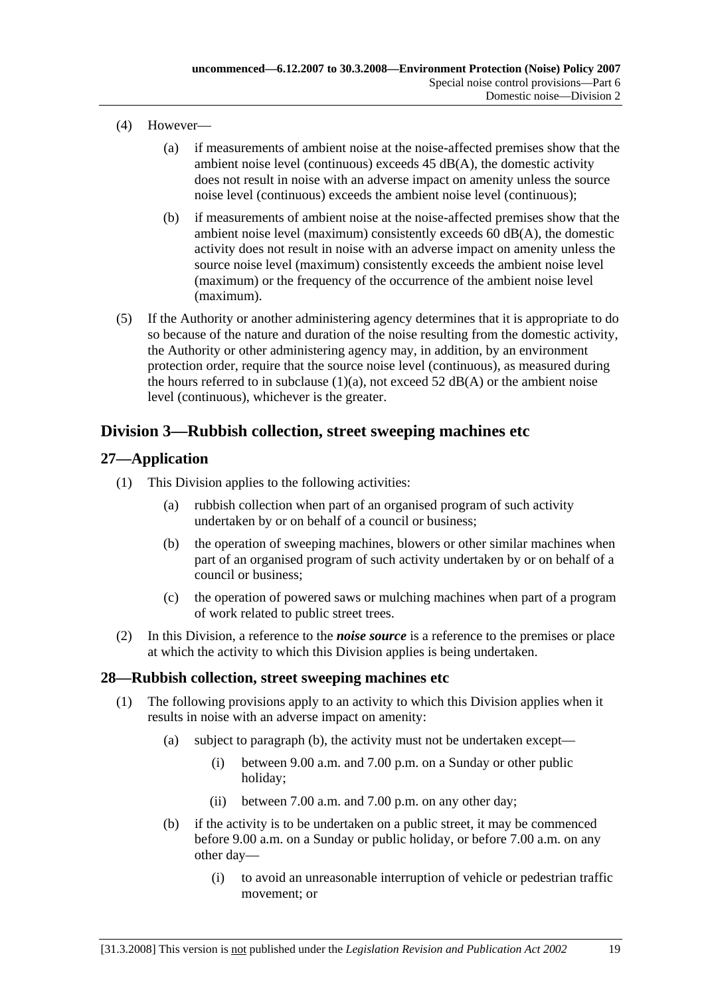- (4) However—
	- (a) if measurements of ambient noise at the noise-affected premises show that the ambient noise level (continuous) exceeds 45 dB(A), the domestic activity does not result in noise with an adverse impact on amenity unless the source noise level (continuous) exceeds the ambient noise level (continuous);
	- (b) if measurements of ambient noise at the noise-affected premises show that the ambient noise level (maximum) consistently exceeds 60 dB(A), the domestic activity does not result in noise with an adverse impact on amenity unless the source noise level (maximum) consistently exceeds the ambient noise level (maximum) or the frequency of the occurrence of the ambient noise level (maximum).
- (5) If the Authority or another administering agency determines that it is appropriate to do so because of the nature and duration of the noise resulting from the domestic activity, the Authority or other administering agency may, in addition, by an environment protection order, require that the source noise level (continuous), as measured during the hours referred to in subclause  $(1)(a)$ , not exceed 52 dB(A) or the ambient noise level (continuous), whichever is the greater.

## **Division 3—Rubbish collection, street sweeping machines etc**

## **27—Application**

- (1) This Division applies to the following activities:
	- (a) rubbish collection when part of an organised program of such activity undertaken by or on behalf of a council or business;
	- (b) the operation of sweeping machines, blowers or other similar machines when part of an organised program of such activity undertaken by or on behalf of a council or business;
	- (c) the operation of powered saws or mulching machines when part of a program of work related to public street trees.
- (2) In this Division, a reference to the *noise source* is a reference to the premises or place at which the activity to which this Division applies is being undertaken.

### **28—Rubbish collection, street sweeping machines etc**

- (1) The following provisions apply to an activity to which this Division applies when it results in noise with an adverse impact on amenity:
	- (a) subject to paragraph (b), the activity must not be undertaken except—
		- (i) between 9.00 a.m. and 7.00 p.m. on a Sunday or other public holiday;
		- (ii) between 7.00 a.m. and 7.00 p.m. on any other day;
	- (b) if the activity is to be undertaken on a public street, it may be commenced before 9.00 a.m. on a Sunday or public holiday, or before 7.00 a.m. on any other day—
		- (i) to avoid an unreasonable interruption of vehicle or pedestrian traffic movement; or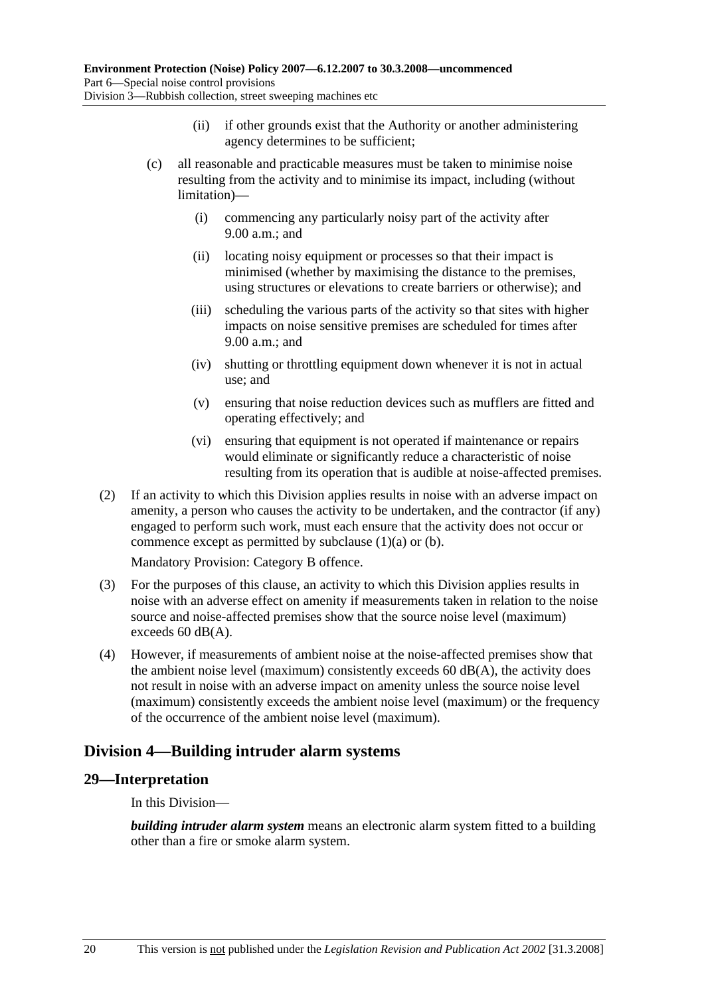- (ii) if other grounds exist that the Authority or another administering agency determines to be sufficient;
- (c) all reasonable and practicable measures must be taken to minimise noise resulting from the activity and to minimise its impact, including (without limitation)—
	- (i) commencing any particularly noisy part of the activity after 9.00 a.m.; and
	- (ii) locating noisy equipment or processes so that their impact is minimised (whether by maximising the distance to the premises, using structures or elevations to create barriers or otherwise); and
	- (iii) scheduling the various parts of the activity so that sites with higher impacts on noise sensitive premises are scheduled for times after 9.00 a.m.; and
	- (iv) shutting or throttling equipment down whenever it is not in actual use; and
	- (v) ensuring that noise reduction devices such as mufflers are fitted and operating effectively; and
	- (vi) ensuring that equipment is not operated if maintenance or repairs would eliminate or significantly reduce a characteristic of noise resulting from its operation that is audible at noise-affected premises.
- (2) If an activity to which this Division applies results in noise with an adverse impact on amenity, a person who causes the activity to be undertaken, and the contractor (if any) engaged to perform such work, must each ensure that the activity does not occur or commence except as permitted by subclause (1)(a) or (b).

Mandatory Provision: Category B offence.

- (3) For the purposes of this clause, an activity to which this Division applies results in noise with an adverse effect on amenity if measurements taken in relation to the noise source and noise-affected premises show that the source noise level (maximum) exceeds 60 dB(A).
- (4) However, if measurements of ambient noise at the noise-affected premises show that the ambient noise level (maximum) consistently exceeds  $60 \text{ dB}(A)$ , the activity does not result in noise with an adverse impact on amenity unless the source noise level (maximum) consistently exceeds the ambient noise level (maximum) or the frequency of the occurrence of the ambient noise level (maximum).

## **Division 4—Building intruder alarm systems**

### **29—Interpretation**

In this Division—

*building intruder alarm system* means an electronic alarm system fitted to a building other than a fire or smoke alarm system.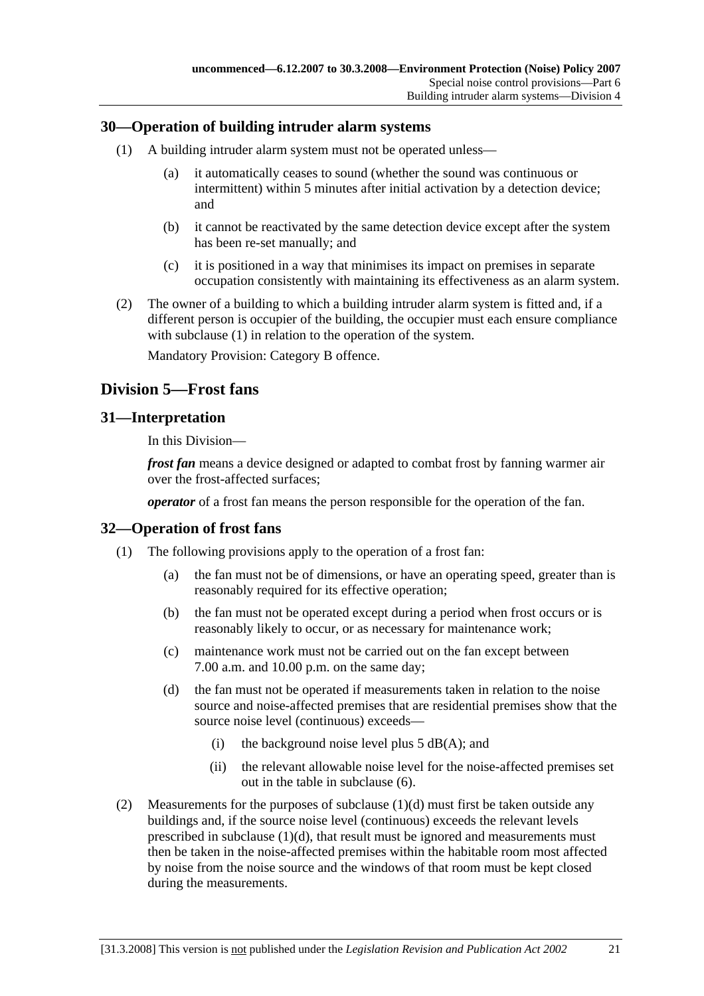### **30—Operation of building intruder alarm systems**

- (1) A building intruder alarm system must not be operated unless—
	- (a) it automatically ceases to sound (whether the sound was continuous or intermittent) within 5 minutes after initial activation by a detection device; and
	- (b) it cannot be reactivated by the same detection device except after the system has been re-set manually; and
	- (c) it is positioned in a way that minimises its impact on premises in separate occupation consistently with maintaining its effectiveness as an alarm system.
- (2) The owner of a building to which a building intruder alarm system is fitted and, if a different person is occupier of the building, the occupier must each ensure compliance with subclause (1) in relation to the operation of the system.

Mandatory Provision: Category B offence.

## **Division 5—Frost fans**

### **31—Interpretation**

In this Division—

*frost fan* means a device designed or adapted to combat frost by fanning warmer air over the frost-affected surfaces;

*operator* of a frost fan means the person responsible for the operation of the fan.

#### **32—Operation of frost fans**

- (1) The following provisions apply to the operation of a frost fan:
	- (a) the fan must not be of dimensions, or have an operating speed, greater than is reasonably required for its effective operation;
	- (b) the fan must not be operated except during a period when frost occurs or is reasonably likely to occur, or as necessary for maintenance work;
	- (c) maintenance work must not be carried out on the fan except between 7.00 a.m. and 10.00 p.m. on the same day;
	- (d) the fan must not be operated if measurements taken in relation to the noise source and noise-affected premises that are residential premises show that the source noise level (continuous) exceeds—
		- (i) the background noise level plus  $5$  dB(A); and
		- (ii) the relevant allowable noise level for the noise-affected premises set out in the table in subclause (6).
- (2) Measurements for the purposes of subclause (1)(d) must first be taken outside any buildings and, if the source noise level (continuous) exceeds the relevant levels prescribed in subclause (1)(d), that result must be ignored and measurements must then be taken in the noise-affected premises within the habitable room most affected by noise from the noise source and the windows of that room must be kept closed during the measurements.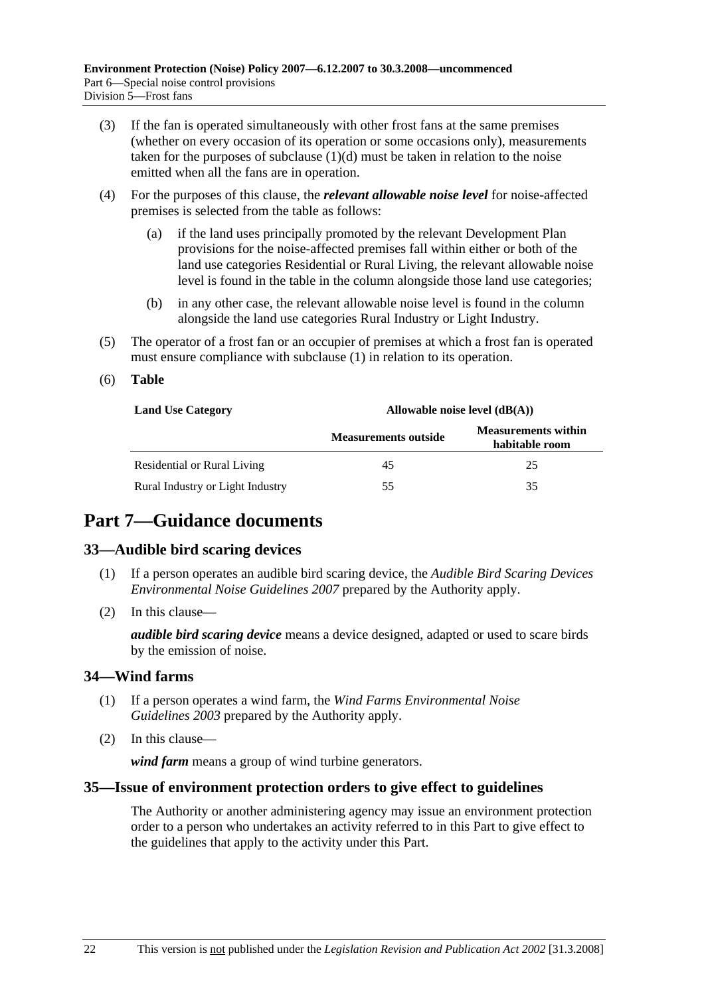- (3) If the fan is operated simultaneously with other frost fans at the same premises (whether on every occasion of its operation or some occasions only), measurements taken for the purposes of subclause  $(1)(d)$  must be taken in relation to the noise emitted when all the fans are in operation.
- (4) For the purposes of this clause, the *relevant allowable noise level* for noise-affected premises is selected from the table as follows:
	- (a) if the land uses principally promoted by the relevant Development Plan provisions for the noise-affected premises fall within either or both of the land use categories Residential or Rural Living, the relevant allowable noise level is found in the table in the column alongside those land use categories;
	- (b) in any other case, the relevant allowable noise level is found in the column alongside the land use categories Rural Industry or Light Industry.
- (5) The operator of a frost fan or an occupier of premises at which a frost fan is operated must ensure compliance with subclause (1) in relation to its operation.
- (6) **Table**

| <b>Land Use Category</b>         | Allowable noise level $(dB(A))$ |                                              |  |
|----------------------------------|---------------------------------|----------------------------------------------|--|
|                                  | <b>Measurements outside</b>     | <b>Measurements within</b><br>habitable room |  |
| Residential or Rural Living      | 45                              | 25                                           |  |
| Rural Industry or Light Industry | 55                              | 35                                           |  |

## **Part 7—Guidance documents**

### **33—Audible bird scaring devices**

- (1) If a person operates an audible bird scaring device, the *Audible Bird Scaring Devices Environmental Noise Guidelines 2007* prepared by the Authority apply.
- (2) In this clause—

*audible bird scaring device* means a device designed, adapted or used to scare birds by the emission of noise.

### **34—Wind farms**

- (1) If a person operates a wind farm, the *Wind Farms Environmental Noise Guidelines 2003* prepared by the Authority apply.
- (2) In this clause—

*wind farm* means a group of wind turbine generators.

### **35—Issue of environment protection orders to give effect to guidelines**

The Authority or another administering agency may issue an environment protection order to a person who undertakes an activity referred to in this Part to give effect to the guidelines that apply to the activity under this Part.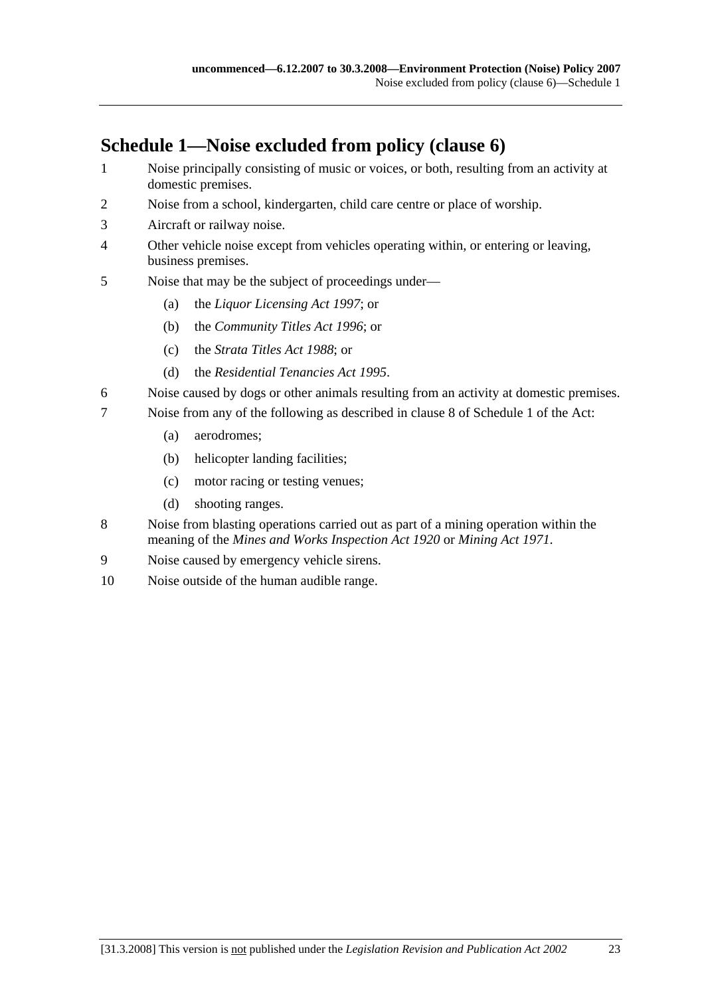# **Schedule 1—Noise excluded from policy (clause 6)**

- 1 Noise principally consisting of music or voices, or both, resulting from an activity at domestic premises.
- 2 Noise from a school, kindergarten, child care centre or place of worship.
- 3 Aircraft or railway noise.
- 4 Other vehicle noise except from vehicles operating within, or entering or leaving, business premises.
- 5 Noise that may be the subject of proceedings under—
	- (a) the *Liquor Licensing Act 1997*; or
	- (b) the *Community Titles Act 1996*; or
	- (c) the *Strata Titles Act 1988*; or
	- (d) the *Residential Tenancies Act 1995*.
- 6 Noise caused by dogs or other animals resulting from an activity at domestic premises.
- 7 Noise from any of the following as described in clause 8 of Schedule 1 of the Act:
	- (a) aerodromes;
	- (b) helicopter landing facilities;
	- (c) motor racing or testing venues;
	- (d) shooting ranges.
- 8 Noise from blasting operations carried out as part of a mining operation within the meaning of the *Mines and Works Inspection Act 1920* or *Mining Act 1971*.
- 9 Noise caused by emergency vehicle sirens.
- 10 Noise outside of the human audible range.